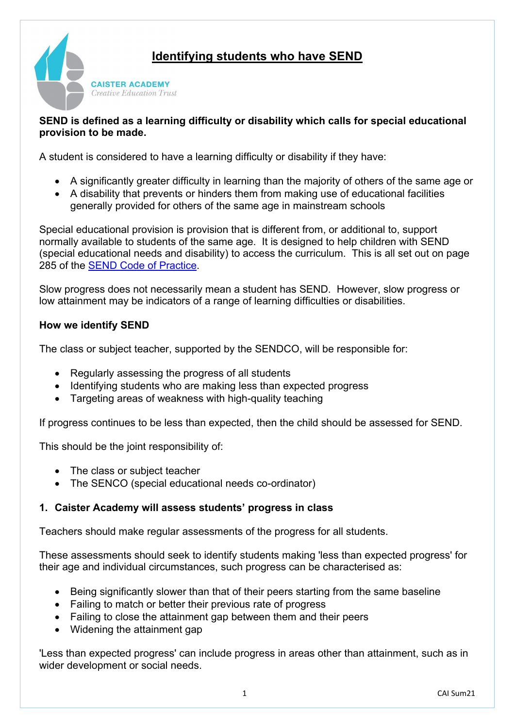



### **SEND is defined as a learning difficulty or disability which calls for special educational provision to be made.**

A student is considered to have a learning difficulty or disability if they have:

- A significantly greater difficulty in learning than the majority of others of the same age or
- A disability that prevents or hinders them from making use of educational facilities generally provided for others of the same age in mainstream schools

Special educational provision is provision that is different from, or additional to, support normally available to students of the same age. It is designed to help children with SEND (special educational needs and disability) to access the curriculum. This is all set out on page 285 of the [SEND Code of Practice.](https://www.gov.uk/government/publications/send-code-of-practice-0-to-25)

Slow progress does not necessarily mean a student has SEND. However, slow progress or low attainment may be indicators of a range of learning difficulties or disabilities.

### **How we identify SEND**

The class or subject teacher, supported by the SENDCO, will be responsible for:

- Regularly assessing the progress of all students
- Identifying students who are making less than expected progress
- Targeting areas of weakness with high-quality teaching

If progress continues to be less than expected, then the child should be assessed for SEND.

This should be the joint responsibility of:

- The class or subject teacher
- The SENCO (special educational needs co-ordinator)

## **1. Caister Academy will assess students' progress in class**

Teachers should make regular assessments of the progress for all students.

These assessments should seek to identify students making 'less than expected progress' for their age and individual circumstances, such progress can be characterised as:

- Being significantly slower than that of their peers starting from the same baseline
- Failing to match or better their previous rate of progress
- Failing to close the attainment gap between them and their peers
- Widening the attainment gap

'Less than expected progress' can include progress in areas other than attainment, such as in wider development or social needs.